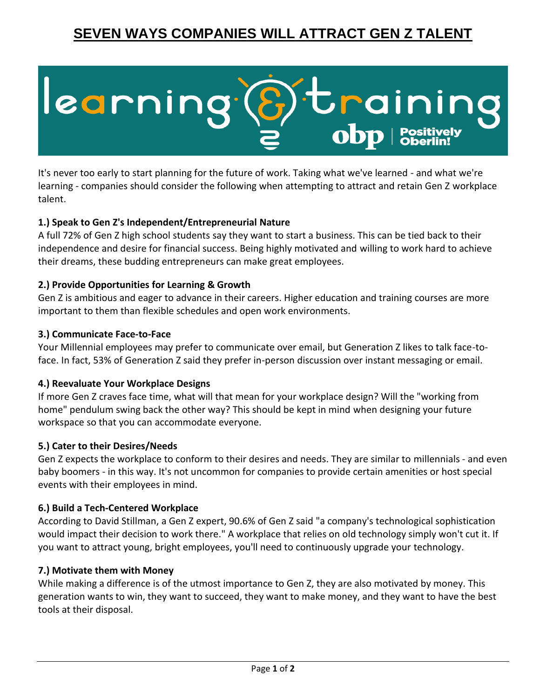## **SEVEN WAYS COMPANIES WILL ATTRACT GEN Z TALENT**

# learning braining

It's never too early to start planning for the future of work. Taking what we've learned - and what we're learning - companies should consider the following when attempting to attract and retain Gen Z workplace talent.

#### **1.) Speak to Gen Z's Independent/Entrepreneurial Nature**

A full 72% of Gen Z high school students say they want to start a business. This can be tied back to their independence and desire for financial success. Being highly motivated and willing to work hard to achieve their dreams, these budding entrepreneurs can make great employees.

#### **2.) Provide Opportunities for Learning & Growth**

Gen Z is ambitious and eager to advance in their careers. Higher education and training courses are more important to them than flexible schedules and open work environments.

#### **3.) Communicate Face-to-Face**

Your Millennial employees may prefer to communicate over email, but Generation Z likes to talk face-toface. In fact, 53% of Generation Z said they prefer in-person discussion over instant messaging or email.

#### **4.) Reevaluate Your Workplace Designs**

If more Gen Z craves face time, what will that mean for your workplace design? Will the "working from home" pendulum swing back the other way? This should be kept in mind when designing your future workspace so that you can accommodate everyone.

#### **5.) Cater to their Desires/Needs**

Gen Z expects the workplace to conform to their desires and needs. They are similar to millennials - and even baby boomers - in this way. It's not uncommon for companies to provide certain amenities or host special events with their employees in mind.

#### **6.) Build a Tech-Centered Workplace**

According to David Stillman, a Gen Z expert, 90.6% of Gen Z said "a company's technological sophistication would impact their decision to work there." A workplace that relies on old technology simply won't cut it. If you want to attract young, bright employees, you'll need to continuously upgrade your technology.

#### **7.) Motivate them with Money**

While making a difference is of the utmost importance to Gen Z, they are also motivated by money. This generation wants to win, they want to succeed, they want to make money, and they want to have the best tools at their disposal.